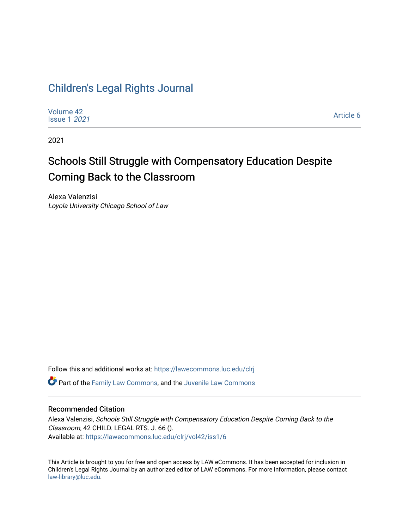# [Children's Legal Rights Journal](https://lawecommons.luc.edu/clrj)

| <b>Issue 1 2021</b> | Volume 42 | Article 6 |
|---------------------|-----------|-----------|
|---------------------|-----------|-----------|

2021

# Schools Still Struggle with Compensatory Education Despite Coming Back to the Classroom

Alexa Valenzisi Loyola University Chicago School of Law

Follow this and additional works at: [https://lawecommons.luc.edu/clrj](https://lawecommons.luc.edu/clrj?utm_source=lawecommons.luc.edu%2Fclrj%2Fvol42%2Fiss1%2F6&utm_medium=PDF&utm_campaign=PDFCoverPages)

**C** Part of the [Family Law Commons,](http://network.bepress.com/hgg/discipline/602?utm_source=lawecommons.luc.edu%2Fclrj%2Fvol42%2Fiss1%2F6&utm_medium=PDF&utm_campaign=PDFCoverPages) and the Juvenile Law Commons

#### Recommended Citation

Alexa Valenzisi, Schools Still Struggle with Compensatory Education Despite Coming Back to the Classroom, 42 CHILD. LEGAL RTS. J. 66 (). Available at: [https://lawecommons.luc.edu/clrj/vol42/iss1/6](https://lawecommons.luc.edu/clrj/vol42/iss1/6?utm_source=lawecommons.luc.edu%2Fclrj%2Fvol42%2Fiss1%2F6&utm_medium=PDF&utm_campaign=PDFCoverPages) 

This Article is brought to you for free and open access by LAW eCommons. It has been accepted for inclusion in Children's Legal Rights Journal by an authorized editor of LAW eCommons. For more information, please contact [law-library@luc.edu](mailto:law-library@luc.edu).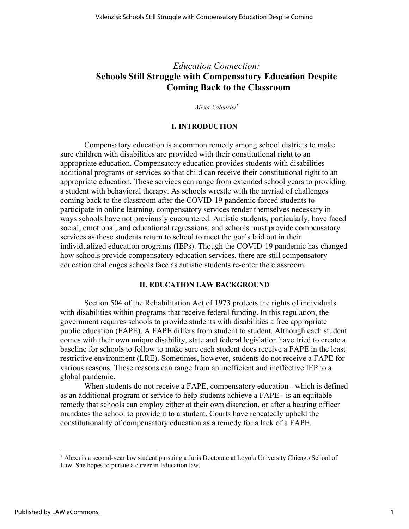# *Education Connection:* **Schools Still Struggle with Compensatory Education Despite Coming Back to the Classroom**

*Alexa Valenzisi1*

#### **I. INTRODUCTION**

Compensatory education is a common remedy among school districts to make sure children with disabilities are provided with their constitutional right to an appropriate education. Compensatory education provides students with disabilities additional programs or services so that child can receive their constitutional right to an appropriate education. These services can range from extended school years to providing a student with behavioral therapy. As schools wrestle with the myriad of challenges coming back to the classroom after the COVID-19 pandemic forced students to participate in online learning, compensatory services render themselves necessary in ways schools have not previously encountered. Autistic students, particularly, have faced social, emotional, and educational regressions, and schools must provide compensatory services as these students return to school to meet the goals laid out in their individualized education programs (IEPs). Though the COVID-19 pandemic has changed how schools provide compensatory education services, there are still compensatory education challenges schools face as autistic students re-enter the classroom.

#### **II. EDUCATION LAW BACKGROUND**

Section 504 of the Rehabilitation Act of 1973 protects the rights of individuals with disabilities within programs that receive federal funding. In this regulation, the government requires schools to provide students with disabilities a free appropriate public education (FAPE). A FAPE differs from student to student. Although each student comes with their own unique disability, state and federal legislation have tried to create a baseline for schools to follow to make sure each student does receive a FAPE in the least restrictive environment (LRE). Sometimes, however, students do not receive a FAPE for various reasons. These reasons can range from an inefficient and ineffective IEP to a global pandemic.

When students do not receive a FAPE, compensatory education - which is defined as an additional program or service to help students achieve a FAPE - is an equitable remedy that schools can employ either at their own discretion, or after a hearing officer mandates the school to provide it to a student. Courts have repeatedly upheld the constitutionality of compensatory education as a remedy for a lack of a FAPE.

<sup>&</sup>lt;sup>1</sup> Alexa is a second-year law student pursuing a Juris Doctorate at Loyola University Chicago School of Law. She hopes to pursue a career in Education law.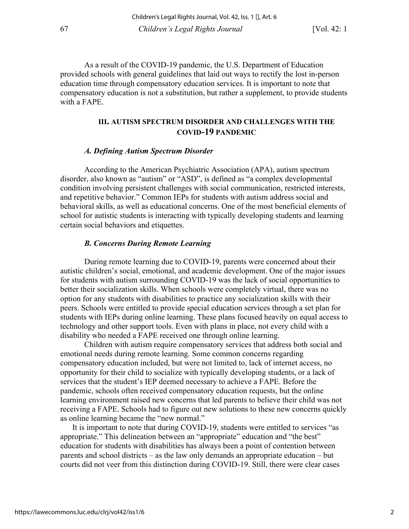As a result of the COVID-19 pandemic, the U.S. Department of Education provided schools with general guidelines that laid out ways to rectify the lost in-person education time through compensatory education services. It is important to note that compensatory education is not a substitution, but rather a supplement, to provide students with a FAPE.

## **III. AUTISM SPECTRUM DISORDER AND CHALLENGES WITH THE COVID-19 PANDEMIC**

#### *A. Defining Autism Spectrum Disorder*

According to the American Psychiatric Association (APA), autism spectrum disorder, also known as "autism" or "ASD", is defined as "a complex developmental condition involving persistent challenges with social communication, restricted interests, and repetitive behavior." Common IEPs for students with autism address social and behavioral skills, as well as educational concerns. One of the most beneficial elements of school for autistic students is interacting with typically developing students and learning certain social behaviors and etiquettes.

#### *B. Concerns During Remote Learning*

During remote learning due to COVID-19, parents were concerned about their autistic children's social, emotional, and academic development. One of the major issues for students with autism surrounding COVID-19 was the lack of social opportunities to better their socialization skills. When schools were completely virtual, there was no option for any students with disabilities to practice any socialization skills with their peers. Schools were entitled to provide special education services through a set plan for students with IEPs during online learning. These plans focused heavily on equal access to technology and other support tools. Even with plans in place, not every child with a disability who needed a FAPE received one through online learning.

Children with autism require compensatory services that address both social and emotional needs during remote learning. Some common concerns regarding compensatory education included, but were not limited to, lack of internet access, no opportunity for their child to socialize with typically developing students, or a lack of services that the student's IEP deemed necessary to achieve a FAPE. Before the pandemic, schools often received compensatory education requests, but the online learning environment raised new concerns that led parents to believe their child was not receiving a FAPE. Schools had to figure out new solutions to these new concerns quickly as online learning became the "new normal."

It is important to note that during COVID-19, students were entitled to services "as appropriate." This delineation between an "appropriate" education and "the best" education for students with disabilities has always been a point of contention between parents and school districts – as the law only demands an appropriate education – but courts did not veer from this distinction during COVID-19. Still, there were clear cases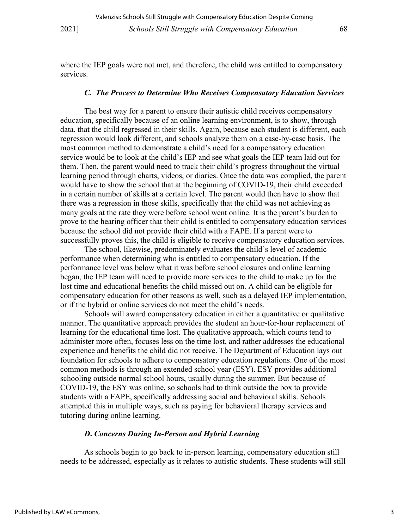where the IEP goals were not met, and therefore, the child was entitled to compensatory services.

#### *C. The Process to Determine Who Receives Compensatory Education Services*

The best way for a parent to ensure their autistic child receives compensatory education, specifically because of an online learning environment, is to show, through data, that the child regressed in their skills. Again, because each student is different, each regression would look different, and schools analyze them on a case-by-case basis. The most common method to demonstrate a child's need for a compensatory education service would be to look at the child's IEP and see what goals the IEP team laid out for them. Then, the parent would need to track their child's progress throughout the virtual learning period through charts, videos, or diaries. Once the data was complied, the parent would have to show the school that at the beginning of COVID-19, their child exceeded in a certain number of skills at a certain level. The parent would then have to show that there was a regression in those skills, specifically that the child was not achieving as many goals at the rate they were before school went online. It is the parent's burden to prove to the hearing officer that their child is entitled to compensatory education services because the school did not provide their child with a FAPE. If a parent were to successfully proves this, the child is eligible to receive compensatory education services.

The school, likewise, predominately evaluates the child's level of academic performance when determining who is entitled to compensatory education. If the performance level was below what it was before school closures and online learning began, the IEP team will need to provide more services to the child to make up for the lost time and educational benefits the child missed out on. A child can be eligible for compensatory education for other reasons as well, such as a delayed IEP implementation, or if the hybrid or online services do not meet the child's needs.

Schools will award compensatory education in either a quantitative or qualitative manner. The quantitative approach provides the student an hour-for-hour replacement of learning for the educational time lost. The qualitative approach, which courts tend to administer more often, focuses less on the time lost, and rather addresses the educational experience and benefits the child did not receive. The Department of Education lays out foundation for schools to adhere to compensatory education regulations. One of the most common methods is through an extended school year (ESY). ESY provides additional schooling outside normal school hours, usually during the summer. But because of COVID-19, the ESY was online, so schools had to think outside the box to provide students with a FAPE, specifically addressing social and behavioral skills. Schools attempted this in multiple ways, such as paying for behavioral therapy services and tutoring during online learning.

#### *D***.** *Concerns During In-Person and Hybrid Learning*

As schools begin to go back to in-person learning, compensatory education still needs to be addressed, especially as it relates to autistic students. These students will still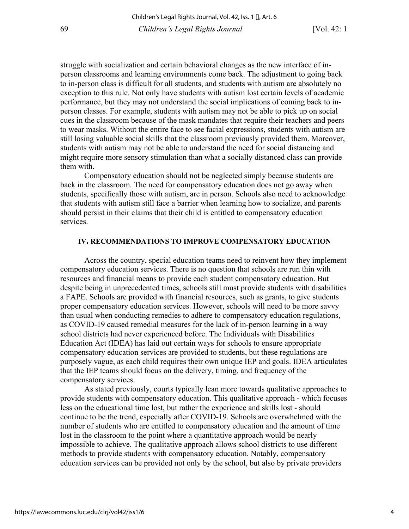struggle with socialization and certain behavioral changes as the new interface of inperson classrooms and learning environments come back. The adjustment to going back to in-person class is difficult for all students, and students with autism are absolutely no exception to this rule. Not only have students with autism lost certain levels of academic performance, but they may not understand the social implications of coming back to inperson classes. For example, students with autism may not be able to pick up on social cues in the classroom because of the mask mandates that require their teachers and peers to wear masks. Without the entire face to see facial expressions, students with autism are still losing valuable social skills that the classroom previously provided them. Moreover, students with autism may not be able to understand the need for social distancing and might require more sensory stimulation than what a socially distanced class can provide them with.

Compensatory education should not be neglected simply because students are back in the classroom. The need for compensatory education does not go away when students, specifically those with autism, are in person. Schools also need to acknowledge that students with autism still face a barrier when learning how to socialize, and parents should persist in their claims that their child is entitled to compensatory education services.

#### **IV. RECOMMENDATIONS TO IMPROVE COMPENSATORY EDUCATION**

Across the country, special education teams need to reinvent how they implement compensatory education services. There is no question that schools are run thin with resources and financial means to provide each student compensatory education. But despite being in unprecedented times, schools still must provide students with disabilities a FAPE. Schools are provided with financial resources, such as grants, to give students proper compensatory education services. However, schools will need to be more savvy than usual when conducting remedies to adhere to compensatory education regulations, as COVID-19 caused remedial measures for the lack of in-person learning in a way school districts had never experienced before. The Individuals with Disabilities Education Act (IDEA) has laid out certain ways for schools to ensure appropriate compensatory education services are provided to students, but these regulations are purposely vague, as each child requires their own unique IEP and goals. IDEA articulates that the IEP teams should focus on the delivery, timing, and frequency of the compensatory services.

As stated previously, courts typically lean more towards qualitative approaches to provide students with compensatory education. This qualitative approach - which focuses less on the educational time lost, but rather the experience and skills lost - should continue to be the trend, especially after COVID-19. Schools are overwhelmed with the number of students who are entitled to compensatory education and the amount of time lost in the classroom to the point where a quantitative approach would be nearly impossible to achieve. The qualitative approach allows school districts to use different methods to provide students with compensatory education. Notably, compensatory education services can be provided not only by the school, but also by private providers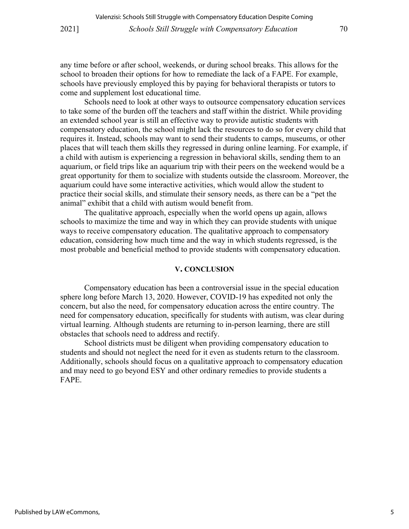any time before or after school, weekends, or during school breaks. This allows for the school to broaden their options for how to remediate the lack of a FAPE. For example, schools have previously employed this by paying for behavioral therapists or tutors to come and supplement lost educational time.

Schools need to look at other ways to outsource compensatory education services to take some of the burden off the teachers and staff within the district. While providing an extended school year is still an effective way to provide autistic students with compensatory education, the school might lack the resources to do so for every child that requires it. Instead, schools may want to send their students to camps, museums, or other places that will teach them skills they regressed in during online learning. For example, if a child with autism is experiencing a regression in behavioral skills, sending them to an aquarium, or field trips like an aquarium trip with their peers on the weekend would be a great opportunity for them to socialize with students outside the classroom. Moreover, the aquarium could have some interactive activities, which would allow the student to practice their social skills, and stimulate their sensory needs, as there can be a "pet the animal" exhibit that a child with autism would benefit from.

The qualitative approach, especially when the world opens up again, allows schools to maximize the time and way in which they can provide students with unique ways to receive compensatory education. The qualitative approach to compensatory education, considering how much time and the way in which students regressed, is the most probable and beneficial method to provide students with compensatory education.

#### **V. CONCLUSION**

Compensatory education has been a controversial issue in the special education sphere long before March 13, 2020. However, COVID-19 has expedited not only the concern, but also the need, for compensatory education across the entire country. The need for compensatory education, specifically for students with autism, was clear during virtual learning. Although students are returning to in-person learning, there are still obstacles that schools need to address and rectify.

School districts must be diligent when providing compensatory education to students and should not neglect the need for it even as students return to the classroom. Additionally, schools should focus on a qualitative approach to compensatory education and may need to go beyond ESY and other ordinary remedies to provide students a FAPE.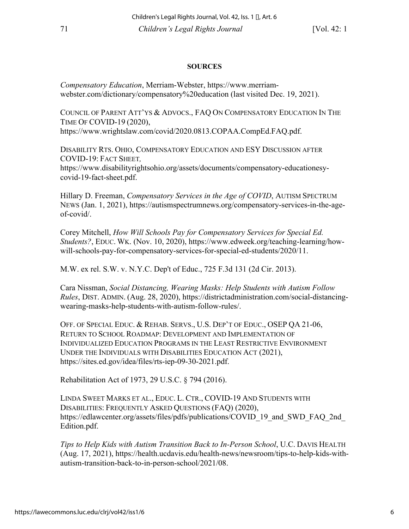### **SOURCES**

*Compensatory Education*, Merriam-Webster, https://www.merriamwebster.com/dictionary/compensatory%20education (last visited Dec. 19, 2021).

COUNCIL OF PARENT ATT'YS & ADVOCS., FAQ ON COMPENSATORY EDUCATION IN THE TIME OF COVID-19 (2020), https://www.wrightslaw.com/covid/2020.0813.COPAA.CompEd.FAQ.pdf.

DISABILITY RTS. OHIO, COMPENSATORY EDUCATION AND ESY DISCUSSION AFTER COVID-19: FACT SHEET*,*  https://www.disabilityrightsohio.org/assets/documents/compensatory-educationesycovid-19-fact-sheet.pdf.

Hillary D. Freeman, *Compensatory Services in the Age of COVID*, AUTISM SPECTRUM NEWS (Jan. 1, 2021), https://autismspectrumnews.org/compensatory-services-in-the-ageof-covid/.

Corey Mitchell, *How Will Schools Pay for Compensatory Services for Special Ed. Students?*, EDUC. WK. (Nov. 10, 2020), https://www.edweek.org/teaching-learning/howwill-schools-pay-for-compensatory-services-for-special-ed-students/2020/11.

M.W. ex rel. S.W. v. N.Y.C. Dep't of Educ., 725 F.3d 131 (2d Cir. 2013).

Cara Nissman, *Social Distancing, Wearing Masks: Help Students with Autism Follow Rules*, DIST. ADMIN. (Aug. 28, 2020), https://districtadministration.com/social-distancingwearing-masks-help-students-with-autism-follow-rules/.

OFF. OF SPECIAL EDUC. & REHAB. SERVS., U.S. DEP'T OF EDUC., OSEP QA 21-06, RETURN TO SCHOOL ROADMAP: DEVELOPMENT AND IMPLEMENTATION OF INDIVIDUALIZED EDUCATION PROGRAMS IN THE LEAST RESTRICTIVE ENVIRONMENT UNDER THE INDIVIDUALS WITH DISABILITIES EDUCATION ACT (2021), https://sites.ed.gov/idea/files/rts-iep-09-30-2021.pdf.

Rehabilitation Act of 1973, 29 U.S.C. § 794 (2016).

LINDA SWEET MARKS ET AL., EDUC. L. CTR., COVID-19 AND STUDENTS WITH DISABILITIES: FREQUENTLY ASKED QUESTIONS (FAQ) (2020), https://edlawcenter.org/assets/files/pdfs/publications/COVID 19 and SWD FAQ 2nd Edition.pdf.

*Tips to Help Kids with Autism Transition Back to In-Person School*, U.C. DAVIS HEALTH (Aug. 17, 2021), https://health.ucdavis.edu/health-news/newsroom/tips-to-help-kids-withautism-transition-back-to-in-person-school/2021/08.